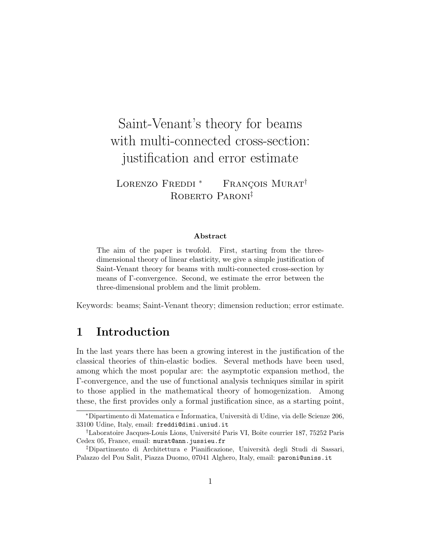# Saint-Venant's theory for beams with multi-connected cross-section: justification and error estimate

LORENZO FREDDI<sup>\*</sup> FRANÇOIS MURAT<sup>†</sup> ROBERTO PARONI<sup>‡</sup>

#### Abstract

The aim of the paper is twofold. First, starting from the threedimensional theory of linear elasticity, we give a simple justification of Saint-Venant theory for beams with multi-connected cross-section by means of Γ-convergence. Second, we estimate the error between the three-dimensional problem and the limit problem.

Keywords: beams; Saint-Venant theory; dimension reduction; error estimate.

# 1 Introduction

In the last years there has been a growing interest in the justification of the classical theories of thin-elastic bodies. Several methods have been used, among which the most popular are: the asymptotic expansion method, the Γ-convergence, and the use of functional analysis techniques similar in spirit to those applied in the mathematical theory of homogenization. Among these, the first provides only a formal justification since, as a starting point,

<sup>∗</sup>Dipartimento di Matematica e Informatica, Universit`a di Udine, via delle Scienze 206, 33100 Udine, Italy, email: freddi@dimi.uniud.it

<sup>&</sup>lt;sup>†</sup>Laboratoire Jacques-Louis Lions, Université Paris VI, Boîte courrier 187, 75252 Paris Cedex 05, France, email: murat@ann.jussieu.fr

<sup>‡</sup>Dipartimento di Architettura e Pianificazione, Universit`a degli Studi di Sassari, Palazzo del Pou Salit, Piazza Duomo, 07041 Alghero, Italy, email: paroni@uniss.it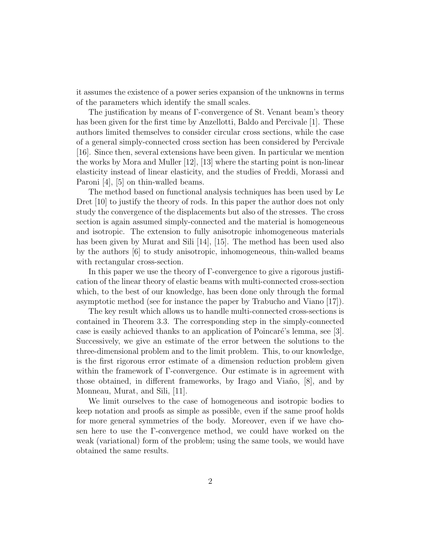it assumes the existence of a power series expansion of the unknowns in terms of the parameters which identify the small scales.

The justification by means of Γ-convergence of St. Venant beam's theory has been given for the first time by Anzellotti, Baldo and Percivale [1]. These authors limited themselves to consider circular cross sections, while the case of a general simply-connected cross section has been considered by Percivale [16]. Since then, several extensions have been given. In particular we mention the works by Mora and Muller [12], [13] where the starting point is non-linear elasticity instead of linear elasticity, and the studies of Freddi, Morassi and Paroni [4], [5] on thin-walled beams.

The method based on functional analysis techniques has been used by Le Dret [10] to justify the theory of rods. In this paper the author does not only study the convergence of the displacements but also of the stresses. The cross section is again assumed simply-connected and the material is homogeneous and isotropic. The extension to fully anisotropic inhomogeneous materials has been given by Murat and Sili [14], [15]. The method has been used also by the authors [6] to study anisotropic, inhomogeneous, thin-walled beams with rectangular cross-section.

In this paper we use the theory of Γ-convergence to give a rigorous justification of the linear theory of elastic beams with multi-connected cross-section which, to the best of our knowledge, has been done only through the formal asymptotic method (see for instance the paper by Trabucho and Viano [17]).

The key result which allows us to handle multi-connected cross-sections is contained in Theorem 3.3. The corresponding step in the simply-connected case is easily achieved thanks to an application of Poincaré's lemma, see [3]. Successively, we give an estimate of the error between the solutions to the three-dimensional problem and to the limit problem. This, to our knowledge, is the first rigorous error estimate of a dimension reduction problem given within the framework of Γ-convergence. Our estimate is in agreement with those obtained, in different frameworks, by Irago and Viaño,  $|8|$ , and by Monneau, Murat, and Sili, [11].

We limit ourselves to the case of homogeneous and isotropic bodies to keep notation and proofs as simple as possible, even if the same proof holds for more general symmetries of the body. Moreover, even if we have chosen here to use the Γ-convergence method, we could have worked on the weak (variational) form of the problem; using the same tools, we would have obtained the same results.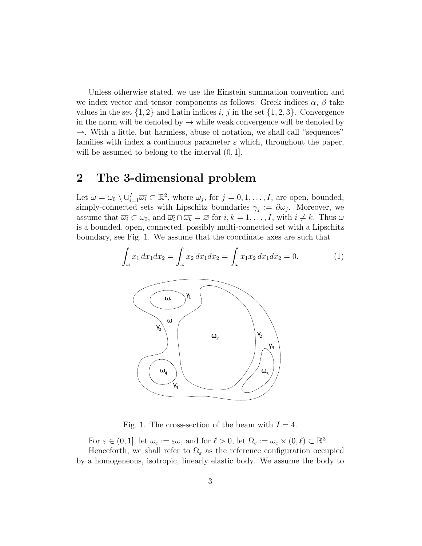Unless otherwise stated, we use the Einstein summation convention and we index vector and tensor components as follows: Greek indices  $\alpha$ ,  $\beta$  take values in the set  $\{1,2\}$  and Latin indices i, j in the set  $\{1,2,3\}$ . Convergence in the norm will be denoted by  $\rightarrow$  while weak convergence will be denoted by  $\rightarrow$ . With a little, but harmless, abuse of notation, we shall call "sequences" families with index a continuous parameter  $\varepsilon$  which, throughout the paper, will be assumed to belong to the interval  $(0, 1]$ .

## 2 The 3-dimensional problem

Let  $\omega = \omega_0 \setminus \bigcup_{i=1}^I \overline{\omega_i} \subset \mathbb{R}^2$ , where  $\omega_j$ , for  $j = 0, 1, \ldots, I$ , are open, bounded, simply-connected sets with Lipschitz boundaries  $\gamma_j := \partial \omega_j$ . Moreover, we assume that  $\overline{\omega_i} \subset \omega_0$ , and  $\overline{\omega_i} \cap \overline{\omega_k} = \varnothing$  for  $i, k = 1, \ldots, I$ , with  $i \neq k$ . Thus  $\omega$ is a bounded, open, connected, possibly multi-connected set with a Lipschitz boundary, see Fig. 1. We assume that the coordinate axes are such that

$$
\int_{\omega} x_1 dx_1 dx_2 = \int_{\omega} x_2 dx_1 dx_2 = \int_{\omega} x_1 x_2 dx_1 dx_2 = 0.
$$
 (1)  
  

$$
\begin{array}{c}\n\textcircled{0} \\
\textcircled{0} \\
\textcircled{0} \\
\textcircled{0} \\
\textcircled{0} \\
\textcircled{0} \\
\textcircled{0} \\
\textcircled{0} \\
\textcircled{0} \\
\textcircled{0} \\
\textcircled{0} \\
\textcircled{0} \\
\textcircled{0} \\
\textcircled{0} \\
\textcircled{0} \\
\textcircled{0} \\
\textcircled{0} \\
\textcircled{0} \\
\textcircled{0} \\
\textcircled{0} \\
\textcircled{0} \\
\textcircled{0} \\
\textcircled{0} \\
\textcircled{0} \\
\textcircled{0} \\
\textcircled{0} \\
\textcircled{0} \\
\textcircled{0} \\
\textcircled{0} \\
\textcircled{0} \\
\textcircled{0} \\
\textcircled{0} \\
\textcircled{0} \\
\textcircled{0} \\
\textcircled{0} \\
\textcircled{0} \\
\textcircled{0} \\
\textcircled{0} \\
\textcircled{0} \\
\textcircled{0} \\
\textcircled{0} \\
\textcircled{0} \\
\textcircled{0} \\
\textcircled{0} \\
\textcircled{0} \\
\textcircled{0} \\
\textcircled{0} \\
\textcircled{0} \\
\textcircled{0} \\
\textcircled{0} \\
\textcircled{0} \\
\textcircled{0} \\
\textcircled{0} \\
\textcircled{0} \\
\textcircled{0} \\
\textcircled{0} \\
\textcircled{0} \\
\textcircled{0} \\
\textcircled{0} \\
\textcircled{0} \\
\textcircled{0} \\
\textcircled{0} \\
\textcircled{0} \\
\textcircled{0} \\
\textcircled{0} \\
\textcircled{0} \\
\textcircled{0} \\
\textcircled{0} \\
\textcircled{0} \\
\textcircled{0} \\
\textcircled{0} \\
\textcircled{0} \\
\textcircled{0} \\
\textcircled{0} \\
\textcircled{0} \\
\textcircled{0} \\
\textcircled{0} \\
\textcircled{0} \\
\textcircled{0} \\
\textcircled{0} \\
\textcircled{0} \\
\textcircled{0} \\
\textcircled{0} \\
\textcircled{0} \\
\textcircled{0} \\
\textcircled{
$$

Fig. 1. The cross-section of the beam with  $I = 4$ .

For  $\varepsilon \in (0, 1]$ , let  $\omega_{\varepsilon} := \varepsilon \omega$ , and for  $\ell > 0$ , let  $\Omega_{\varepsilon} := \omega_{\varepsilon} \times (0, \ell) \subset \mathbb{R}^3$ . Henceforth, we shall refer to  $\Omega_{\varepsilon}$  as the reference configuration occupied by a homogeneous, isotropic, linearly elastic body. We assume the body to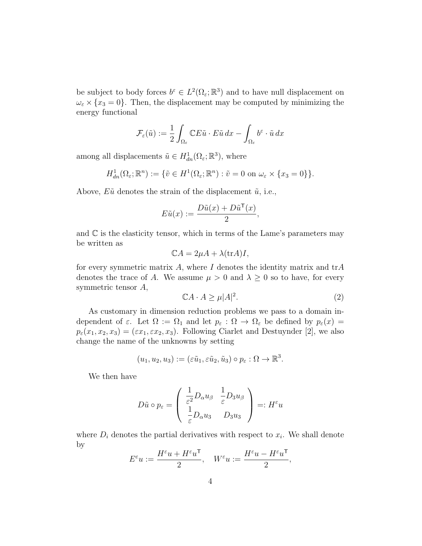be subject to body forces  $b^{\varepsilon} \in L^2(\Omega_{\varepsilon}; \mathbb{R}^3)$  and to have null displacement on  $\omega_{\varepsilon} \times \{x_3 = 0\}$ . Then, the displacement may be computed by minimizing the energy functional

$$
\mathcal{F}_{\varepsilon}(\tilde{u}) := \frac{1}{2} \int_{\Omega_{\varepsilon}} \mathbb{C} E \tilde{u} \cdot E \tilde{u} \, dx - \int_{\Omega_{\varepsilon}} b^{\varepsilon} \cdot \tilde{u} \, dx
$$

among all displacements  $\tilde{u} \in H^1_{dn}(\Omega_\varepsilon; \mathbb{R}^3)$ , where

$$
H^1_{dn}(\Omega_{\varepsilon}; \mathbb{R}^n) := \{ \tilde{v} \in H^1(\Omega_{\varepsilon}; \mathbb{R}^n) : \tilde{v} = 0 \text{ on } \omega_{\varepsilon} \times \{x_3 = 0\} \}.
$$

Above,  $E\tilde{u}$  denotes the strain of the displacement  $\tilde{u}$ , i.e.,

$$
E\tilde{u}(x) := \frac{D\tilde{u}(x) + D\tilde{u}^{\mathsf{T}}(x)}{2},
$$

and  $\mathbb C$  is the elasticity tensor, which in terms of the Lame's parameters may be written as

$$
\mathbb{C}A = 2\mu A + \lambda(\text{tr}A)I,
$$

for every symmetric matrix A, where I denotes the identity matrix and  $trA$ denotes the trace of A. We assume  $\mu > 0$  and  $\lambda \geq 0$  so to have, for every symmetric tensor A,

$$
\mathbb{C}A \cdot A \ge \mu |A|^2. \tag{2}
$$

As customary in dimension reduction problems we pass to a domain independent of  $\varepsilon$ . Let  $\Omega := \Omega_1$  and let  $p_{\varepsilon} : \Omega \to \Omega_{\varepsilon}$  be defined by  $p_{\varepsilon}(x) =$  $p_{\varepsilon}(x_1, x_2, x_3) = (\varepsilon x_1, \varepsilon x_2, x_3)$ . Following Ciarlet and Destuynder [2], we also change the name of the unknowns by setting

$$
(u_1, u_2, u_3) := (\varepsilon \tilde{u}_1, \varepsilon \tilde{u}_2, \tilde{u}_3) \circ p_{\varepsilon} : \Omega \to \mathbb{R}^3.
$$

We then have

$$
D\tilde{u} \circ p_{\varepsilon} = \left( \begin{array}{cc} \frac{1}{\varepsilon^2}D_{\alpha}u_{\beta} & \frac{1}{\varepsilon}D_3u_{\beta} \\ \frac{1}{\varepsilon}D_{\alpha}u_3 & D_3u_3 \end{array} \right) =: H^{\varepsilon}u
$$

where  $D_i$  denotes the partial derivatives with respect to  $x_i$ . We shall denote by

$$
E^{\varepsilon}u:=\frac{H^{\varepsilon}u+H^{\varepsilon}u^{\mathsf{T}}}{2},\quad W^{\varepsilon}u:=\frac{H^{\varepsilon}u-H^{\varepsilon}u^{\mathsf{T}}}{2},
$$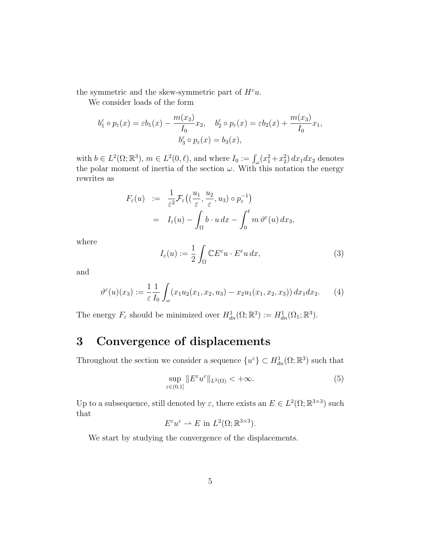the symmetric and the skew-symmetric part of  $H^{\varepsilon}u$ .

We consider loads of the form

$$
b_1^{\varepsilon} \circ p_{\varepsilon}(x) = \varepsilon b_1(x) - \frac{m(x_3)}{I_0} x_2, \quad b_2^{\varepsilon} \circ p_{\varepsilon}(x) = \varepsilon b_2(x) + \frac{m(x_3)}{I_0} x_1,
$$

$$
b_3^{\varepsilon} \circ p_{\varepsilon}(x) = b_3(x),
$$

with  $b \in L^2(\Omega; \mathbb{R}^3)$ ,  $m \in L^2(0, \ell)$ , and where  $I_0 := \int_{\omega} (x_1^2 + x_2^2) dx_1 dx_2$  denotes the polar moment of inertia of the section  $\omega$ . With this notation the energy rewrites as

$$
F_{\varepsilon}(u) := \frac{1}{\varepsilon^2} \mathcal{F}_{\varepsilon}\left((\frac{u_1}{\varepsilon}, \frac{u_2}{\varepsilon}, u_3) \circ p_{\varepsilon}^{-1}\right)
$$
  
=  $I_{\varepsilon}(u) - \int_{\Omega} b \cdot u \, dx - \int_0^{\ell} m \, \vartheta^{\varepsilon}(u) \, dx_3$ ,

where

$$
I_{\varepsilon}(u) := \frac{1}{2} \int_{\Omega} \mathbb{C} E^{\varepsilon} u \cdot E^{\varepsilon} u \, dx,\tag{3}
$$

and

$$
\vartheta^{\varepsilon}(u)(x_3) := \frac{1}{\varepsilon} \frac{1}{I_0} \int_{\omega} (x_1 u_2(x_1, x_2, u_3) - x_2 u_1(x_1, x_2, x_3)) dx_1 dx_2. \tag{4}
$$

The energy  $F_{\varepsilon}$  should be minimized over  $H^1_{dn}(\Omega;\mathbb{R}^3) := H^1_{dn}(\Omega_1;\mathbb{R}^3)$ .

# 3 Convergence of displacements

Throughout the section we consider a sequence  $\{u^{\varepsilon}\}\subset H_{dn}^1(\Omega;\mathbb{R}^3)$  such that

$$
\sup_{\varepsilon \in (0,1]} \|E^{\varepsilon} u^{\varepsilon}\|_{L^{2}(\Omega)} < +\infty.
$$
 (5)

Up to a subsequence, still denoted by  $\varepsilon$ , there exists an  $E \in L^2(\Omega;\mathbb{R}^{3\times3})$  such that

$$
E^{\varepsilon}u^{\varepsilon} \rightharpoonup E \text{ in } L^{2}(\Omega; \mathbb{R}^{3 \times 3}).
$$

We start by studying the convergence of the displacements.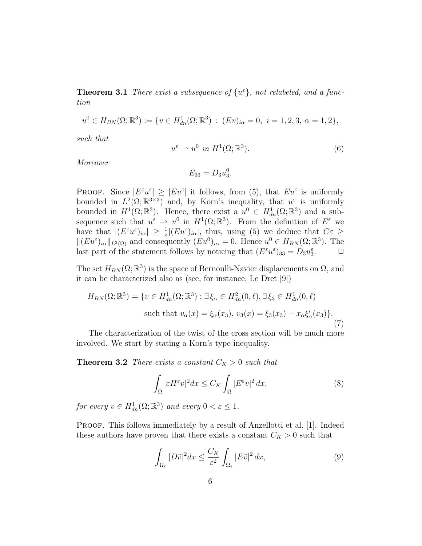**Theorem 3.1** There exist a subsequence of  $\{u^{\varepsilon}\}\$ , not relabeled, and a function

$$
u^{0} \in H_{BN}(\Omega; \mathbb{R}^{3}) := \{ v \in H_{dn}^{1}(\Omega; \mathbb{R}^{3}) : (Ev)_{i\alpha} = 0, \ i = 1, 2, 3, \alpha = 1, 2 \},
$$

such that

$$
u^{\varepsilon} \rightharpoonup u^0 \text{ in } H^1(\Omega; \mathbb{R}^3). \tag{6}
$$

Moreover

$$
E_{33} = D_3 u_3^0.
$$

**PROOF.** Since  $|E^{\varepsilon}u^{\varepsilon}| \geq |Eu^{\varepsilon}|$  it follows, from (5), that  $Eu^{\varepsilon}$  is uniformly bounded in  $L^2(\Omega;\mathbb{R}^{3\times3})$  and, by Korn's inequality, that  $u^{\varepsilon}$  is uniformly bounded in  $H^1(\Omega;\mathbb{R}^3)$ . Hence, there exist a  $u^0 \in H^1_{dn}(\Omega;\mathbb{R}^3)$  and a subsequence such that  $u^{\varepsilon} \to u^0$  in  $H^1(\Omega;\mathbb{R}^3)$ . From the definition of  $E^{\varepsilon}$  we have that  $|(E^{\varepsilon}u^{\varepsilon})_{i\alpha}| \geq \frac{1}{\varepsilon}|(Eu^{\varepsilon})_{i\alpha}|$ , thus, using (5) we deduce that  $C\varepsilon \geq$  $||(Eu^{\varepsilon})_{i\alpha}||_{L^{2}(\Omega)}$  and consequently  $(Eu^{0})_{i\alpha}=0$ . Hence  $u^{0}\in H_{BN}(\Omega;\mathbb{R}^{3})$ . The last part of the statement follows by noticing that  $(E^{\varepsilon}u^{\varepsilon})_{33} = D_3u_3^{\varepsilon}$  $\Box$ 

The set  $H_{BN}(\Omega;\mathbb{R}^3)$  is the space of Bernoulli-Navier displacements on  $\Omega$ , and it can be characterized also as (see, for instance, Le Dret [9])

$$
H_{BN}(\Omega; \mathbb{R}^3) = \{ v \in H_{dn}^1(\Omega; \mathbb{R}^3) : \exists \xi_{\alpha} \in H_{dn}^2(0, \ell), \exists \xi_{3} \in H_{dn}^1(0, \ell) \}
$$
  
such that  $v_{\alpha}(x) = \xi_{\alpha}(x_3), v_{3}(x) = \xi_{3}(x_3) - x_{\alpha} \xi'_{\alpha}(x_3) \}.$  (7)

The characterization of the twist of the cross section will be much more involved. We start by stating a Korn's type inequality.

**Theorem 3.2** There exists a constant  $C_K > 0$  such that

$$
\int_{\Omega} |\varepsilon H^{\varepsilon} v|^2 dx \le C_K \int_{\Omega} |E^{\varepsilon} v|^2 dx,
$$
\n(8)

for every  $v \in H^1_{dn}(\Omega; \mathbb{R}^3)$  and every  $0 < \varepsilon \leq 1$ .

PROOF. This follows immediately by a result of Anzellotti et al. [1]. Indeed these authors have proven that there exists a constant  $C_K > 0$  such that

$$
\int_{\Omega_{\varepsilon}} |D\tilde{v}|^2 dx \le \frac{C_K}{\varepsilon^2} \int_{\Omega_{\varepsilon}} |E\tilde{v}|^2 dx,
$$
\n(9)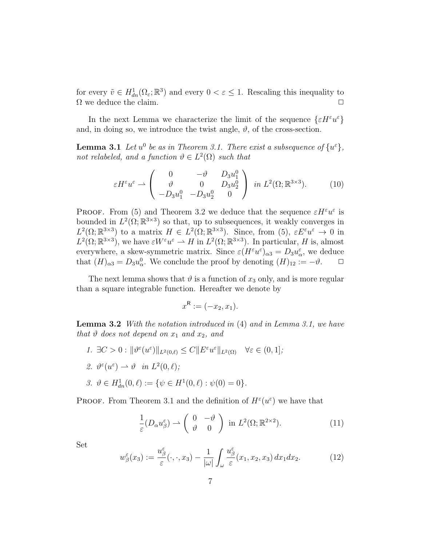for every  $\tilde{v} \in H^1_{dn}(\Omega_\varepsilon; \mathbb{R}^3)$  and every  $0 < \varepsilon \leq 1$ . Rescaling this inequality to  $\Omega$  we deduce the claim.

In the next Lemma we characterize the limit of the sequence  $\{\varepsilon H^{\varepsilon}u^{\varepsilon}\}$ and, in doing so, we introduce the twist angle,  $\vartheta$ , of the cross-section.

**Lemma 3.1** Let  $u^0$  be as in Theorem 3.1. There exist a subsequence of  $\{u^{\varepsilon}\},$ not relabeled, and a function  $\vartheta \in L^2(\Omega)$  such that

$$
\varepsilon H^{\varepsilon} u^{\varepsilon} \rightharpoonup \begin{pmatrix} 0 & -\vartheta & D_3 u_1^0 \\ \vartheta & 0 & D_3 u_2^0 \\ -D_3 u_1^0 & -D_3 u_2^0 & 0 \end{pmatrix} \text{ in } L^2(\Omega; \mathbb{R}^{3 \times 3}). \tag{10}
$$

**PROOF.** From (5) and Theorem 3.2 we deduce that the sequence  $\epsilon H^{\epsilon}u^{\epsilon}$  is bounded in  $L^2(\Omega;\mathbb{R}^{3\times3})$  so that, up to subsequences, it weakly converges in  $L^2(\Omega;\mathbb{R}^{3\times3})$  to a matrix  $H \in L^2(\Omega;\mathbb{R}^{3\times3})$ . Since, from (5),  $\varepsilon E^{\varepsilon}u^{\varepsilon} \to 0$  in  $L^2(\Omega;\mathbb{R}^{3\times3})$ , we have  $\varepsilon W^{\varepsilon}u^{\varepsilon} \rightharpoonup H$  in  $L^2(\Omega;\mathbb{R}^{3\times3})$ . In particular, H is, almost everywhere, a skew-symmetric matrix. Since  $\varepsilon(H^{\varepsilon}u^{\varepsilon})_{\alpha 3} = D_3 u^{\varepsilon}_{\alpha}$ , we deduce that  $(H)_{\alpha 3} = D_3 u_{\alpha}^0$ . We conclude the proof by denoting  $(H)_{12} := -\vartheta$ .  $\Box$ 

The next lemma shows that  $\vartheta$  is a function of  $x_3$  only, and is more regular than a square integrable function. Hereafter we denote by

$$
x^{\mathsf{R}} := (-x_2, x_1).
$$

Lemma 3.2 With the notation introduced in (4) and in Lemma 3.1, we have that  $\vartheta$  does not depend on  $x_1$  and  $x_2$ , and

- 1.  $\exists C > 0 : ||\vartheta^{\varepsilon}(u^{\varepsilon})||_{L^{2}(0,\ell)} \leq C ||E^{\varepsilon}u^{\varepsilon}||_{L^{2}(\Omega)} \quad \forall \varepsilon \in (0,1];$
- 2.  $\vartheta^{\varepsilon}(u^{\varepsilon}) \rightharpoonup \vartheta \quad in \; L^2(0,\ell);$
- 3.  $\vartheta \in H^1_{dn}(0, \ell) := \{ \psi \in H^1(0, \ell) : \psi(0) = 0 \}.$

**PROOF.** From Theorem 3.1 and the definition of  $H^{\varepsilon}(u^{\varepsilon})$  we have that

$$
\frac{1}{\varepsilon}(D_{\alpha}u_{\beta}^{\varepsilon}) \rightharpoonup \begin{pmatrix} 0 & -\vartheta \\ \vartheta & 0 \end{pmatrix} \text{ in } L^{2}(\Omega; \mathbb{R}^{2 \times 2}).
$$
\n(11)

Set

$$
w_{\beta}^{\varepsilon}(x_3) := \frac{u_{\beta}^{\varepsilon}}{\varepsilon}(\cdot, \cdot, x_3) - \frac{1}{|\omega|} \int_{\omega} \frac{u_{\beta}^{\varepsilon}}{\varepsilon}(x_1, x_2, x_3) dx_1 dx_2.
$$
 (12)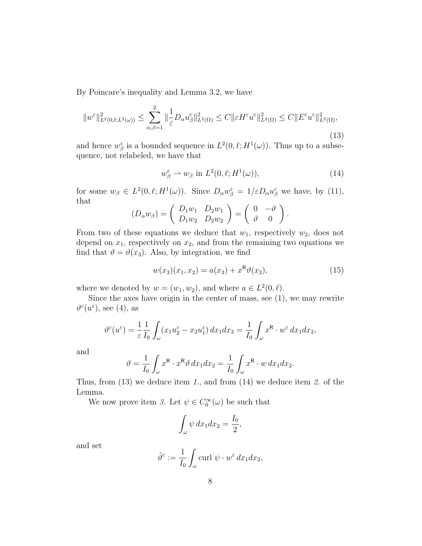By Poincare's inequality and Lemma 3.2, we have

$$
||w^{\varepsilon}||_{L^{2}(0,\ell;L^{2}(\omega))}^{2} \leq \sum_{\alpha,\beta=1}^{2} ||\frac{1}{\varepsilon}D_{\alpha}u^{\varepsilon}_{\beta}||_{L^{2}(\Omega)}^{2} \leq C||\varepsilon H^{\varepsilon}u^{\varepsilon}||_{L^{2}(\Omega)}^{2} \leq C||E^{\varepsilon}u^{\varepsilon}||_{L^{2}(\Omega)}^{2},
$$
\n(13)

and hence  $w^{\varepsilon}_{\beta}$  is a bounded sequence in  $L^2(0,\ell;H^1(\omega))$ . Thus up to a subsequence, not relabeled, we have that

$$
w_{\beta}^{\varepsilon} \rightharpoonup w_{\beta} \text{ in } L^{2}(0, \ell; H^{1}(\omega)), \tag{14}
$$

for some  $w_{\beta} \in L^2(0, \ell; H^1(\omega))$ . Since  $D_{\alpha}w_{\beta}^{\varepsilon} = 1/\varepsilon D_{\alpha}u_{\beta}^{\varepsilon}$  we have, by (11), that

$$
(D_{\alpha}w_{\beta})=\left(\begin{array}{cc}D_1w_1 & D_2w_1 \ D_1w_2 & D_2w_2\end{array}\right)=\left(\begin{array}{cc}0 & -\vartheta \\ \vartheta & 0\end{array}\right).
$$

From two of these equations we deduce that  $w_1$ , respectively  $w_2$ , does not depend on  $x_1$ , respectively on  $x_2$ , and from the remaining two equations we find that  $\vartheta = \vartheta(x_3)$ . Also, by integration, we find

$$
w(x_3)(x_1, x_2) = a(x_3) + x^R \vartheta(x_3), \tag{15}
$$

where we denoted by  $w = (w_1, w_2)$ , and where  $a \in L^2(0, \ell)$ .

Since the axes have origin in the center of mass, see (1), we may rewrite  $\vartheta^{\varepsilon}(u^{\varepsilon}),$  see (4), as

$$
\vartheta^{\varepsilon}(u^{\varepsilon}) = \frac{1}{\varepsilon} \frac{1}{I_0} \int_{\omega} (x_1 u_2^{\varepsilon} - x_2 u_1^{\varepsilon}) dx_1 dx_2 = \frac{1}{I_0} \int_{\omega} x^{\mathsf{R}} \cdot w^{\varepsilon} dx_1 dx_2,
$$

and

$$
\vartheta = \frac{1}{I_0} \int_{\omega} x^{\mathsf{R}} \cdot x^{\mathsf{R}} \vartheta \, dx_1 dx_2 = \frac{1}{I_0} \int_{\omega} x^{\mathsf{R}} \cdot w \, dx_1 dx_2.
$$

Thus, from  $(13)$  we deduce item 1., and from  $(14)$  we deduce item 2. of the Lemma.

We now prove item 3. Let  $\psi \in C_0^{\infty}(\omega)$  be such that

$$
\int_{\omega} \psi \, dx_1 dx_2 = \frac{I_0}{2},
$$

and set

$$
\tilde{\vartheta}^{\varepsilon} := \frac{1}{I_0} \int_{\omega} \operatorname{curl} \psi \cdot w^{\varepsilon} \, dx_1 dx_2,
$$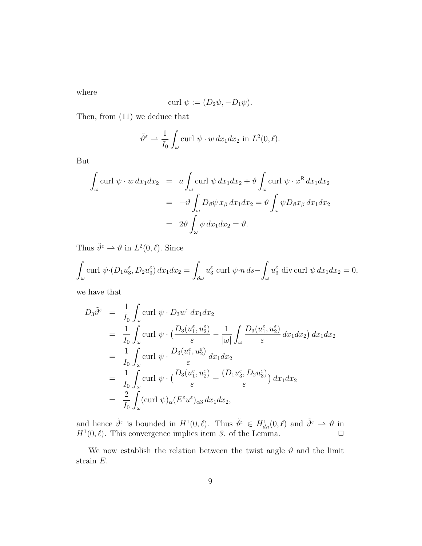where

$$
\operatorname{curl} \psi := (D_2\psi, -D_1\psi).
$$

Then, from (11) we deduce that

$$
\tilde{\vartheta}^{\varepsilon} \rightharpoonup \frac{1}{I_0} \int_{\omega} \text{curl } \psi \cdot w \, dx_1 dx_2 \text{ in } L^2(0, \ell).
$$

But

$$
\int_{\omega} \text{curl } \psi \cdot w \, dx_1 dx_2 = a \int_{\omega} \text{curl } \psi \, dx_1 dx_2 + \vartheta \int_{\omega} \text{curl } \psi \cdot x^{\mathsf{R}} \, dx_1 dx_2
$$

$$
= -\vartheta \int_{\omega} D_{\beta} \psi \, x_{\beta} \, dx_1 dx_2 = \vartheta \int_{\omega} \psi D_{\beta} x_{\beta} \, dx_1 dx_2
$$

$$
= 2\vartheta \int_{\omega} \psi \, dx_1 dx_2 = \vartheta.
$$

Thus  $\tilde{\vartheta}^{\varepsilon} \rightharpoonup \vartheta$  in  $L^2(0,\ell)$ . Since

$$
\int_{\omega} \operatorname{curl} \psi \cdot (D_1 u_3^{\varepsilon}, D_2 u_3^{\varepsilon}) dx_1 dx_2 = \int_{\partial \omega} u_3^{\varepsilon} \operatorname{curl} \psi \cdot n ds - \int_{\omega} u_3^{\varepsilon} \operatorname{div} \operatorname{curl} \psi dx_1 dx_2 = 0,
$$

we have that

$$
D_3 \tilde{\vartheta}^{\varepsilon} = \frac{1}{I_0} \int_{\omega} \text{curl } \psi \cdot D_3 w^{\varepsilon} dx_1 dx_2
$$
  
\n
$$
= \frac{1}{I_0} \int_{\omega} \text{curl } \psi \cdot \left( \frac{D_3(u_1^{\varepsilon}, u_2^{\varepsilon})}{\varepsilon} - \frac{1}{|\omega|} \int_{\omega} \frac{D_3(u_1^{\varepsilon}, u_2^{\varepsilon})}{\varepsilon} dx_1 dx_2 \right) dx_1 dx_2
$$
  
\n
$$
= \frac{1}{I_0} \int_{\omega} \text{curl } \psi \cdot \frac{D_3(u_1^{\varepsilon}, u_2^{\varepsilon})}{\varepsilon} dx_1 dx_2
$$
  
\n
$$
= \frac{1}{I_0} \int_{\omega} \text{curl } \psi \cdot \left( \frac{D_3(u_1^{\varepsilon}, u_2^{\varepsilon})}{\varepsilon} + \frac{(D_1 u_3^{\varepsilon}, D_2 u_3^{\varepsilon})}{\varepsilon} \right) dx_1 dx_2
$$
  
\n
$$
= \frac{2}{I_0} \int_{\omega} (\text{curl } \psi)_{\alpha} (E^{\varepsilon} u^{\varepsilon})_{\alpha 3} dx_1 dx_2,
$$

and hence  $\tilde{\theta}^{\varepsilon}$  is bounded in  $H^1(0,\ell)$ . Thus  $\tilde{\theta}^{\varepsilon} \in H^1_{dn}(0,\ell)$  and  $\tilde{\theta}^{\varepsilon} \to \theta$  in  $H^1(0, \ell)$ . This convergence implies item 3. of the Lemma.  $\Box$ 

We now establish the relation between the twist angle  $\vartheta$  and the limit strain E.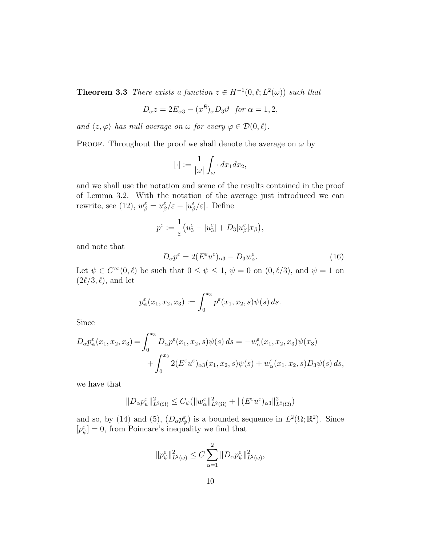**Theorem 3.3** There exists a function  $z \in H^{-1}(0, \ell; L^2(\omega))$  such that

$$
D_{\alpha}z = 2E_{\alpha 3} - (x^R)_{\alpha}D_3\vartheta \text{ for } \alpha = 1, 2,
$$

and  $\langle z, \varphi \rangle$  has null average on  $\omega$  for every  $\varphi \in \mathcal{D}(0, \ell)$ .

PROOF. Throughout the proof we shall denote the average on  $\omega$  by

$$
[\cdot] := \frac{1}{|\omega|} \int_{\omega} \cdot dx_1 dx_2,
$$

and we shall use the notation and some of the results contained in the proof of Lemma 3.2. With the notation of the average just introduced we can rewrite, see (12),  $w_{\beta}^{\varepsilon} = u_{\beta}^{\varepsilon}/\varepsilon - [u_{\beta}^{\varepsilon}/\varepsilon]$ . Define

$$
p^{\varepsilon} := \frac{1}{\varepsilon} \big( u_3^{\varepsilon} - [u_3^{\varepsilon}] + D_3[u_{\beta}^{\varepsilon}]x_{\beta} \big),
$$

and note that

$$
D_{\alpha}p^{\varepsilon} = 2(E^{\varepsilon}u^{\varepsilon})_{\alpha 3} - D_{3}w^{\varepsilon}_{\alpha}.
$$
\n(16)

Let  $\psi \in C^{\infty}(0, \ell)$  be such that  $0 \leq \psi \leq 1$ ,  $\psi = 0$  on  $(0, \ell/3)$ , and  $\psi = 1$  on  $(2\ell/3, \ell)$ , and let

$$
p_{\psi}^{\varepsilon}(x_1, x_2, x_3) := \int_0^{x_3} p^{\varepsilon}(x_1, x_2, s) \psi(s) ds.
$$

Since

$$
D_{\alpha}p_{\psi}^{\varepsilon}(x_1, x_2, x_3) = \int_0^{x_3} D_{\alpha}p^{\varepsilon}(x_1, x_2, s)\psi(s) ds = -w_{\alpha}^{\varepsilon}(x_1, x_2, x_3)\psi(x_3)
$$
  
+ 
$$
\int_0^{x_3} 2(E^{\varepsilon}u^{\varepsilon})_{\alpha 3}(x_1, x_2, s)\psi(s) + w_{\alpha}^{\varepsilon}(x_1, x_2, s)D_3\psi(s) ds,
$$

we have that

$$
||D_{\alpha}p_{\psi}^{\varepsilon}||_{L^{2}(\Omega)}^{2} \leq C_{\psi} (||w_{\alpha}^{\varepsilon}||_{L^{2}(\Omega)}^{2} + ||(E^{\varepsilon}u^{\varepsilon})_{\alpha3}||_{L^{2}(\Omega)}^{2})
$$

and so, by (14) and (5),  $(D_{\alpha}p_{\psi}^{\varepsilon})$  is a bounded sequence in  $L^{2}(\Omega;\mathbb{R}^{2})$ . Since  $[p^{\varepsilon}_{\psi}] = 0$ , from Poincare's inequality we find that

$$
||p_{\psi}^{\varepsilon}||_{L^{2}(\omega)}^{2} \leq C \sum_{\alpha=1}^{2} ||D_{\alpha}p_{\psi}^{\varepsilon}||_{L^{2}(\omega)}^{2},
$$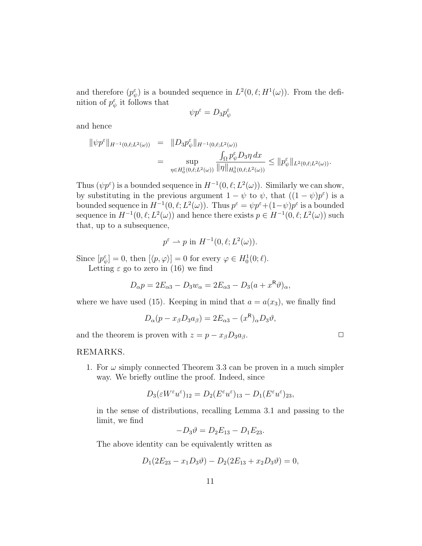and therefore  $(p_{\psi}^{\varepsilon})$  is a bounded sequence in  $L^2(0,\ell;H^1(\omega))$ . From the definition of  $p_{\psi}^{\varepsilon}$  it follows that

$$
\psi p^{\varepsilon} = D_3 p^{\varepsilon}_\psi
$$

and hence

$$
\|\psi p^{\varepsilon}\|_{H^{-1}(0,\ell;L^{2}(\omega))} = \|D_{3} p^{\varepsilon}_{\psi}\|_{H^{-1}(0,\ell;L^{2}(\omega))}
$$
  

$$
= \sup_{\eta \in H_{0}^{1}(0,\ell;L^{2}(\omega))} \frac{\int_{\Omega} p^{\varepsilon}_{\psi} D_{3} \eta \, dx}{\|\eta\|_{H_{0}^{1}(0,\ell;L^{2}(\omega))}} \leq \|p^{\varepsilon}_{\psi}\|_{L^{2}(0,\ell;L^{2}(\omega))}.
$$

Thus  $(\psi p^{\varepsilon})$  is a bounded sequence in  $H^{-1}(0, \ell; L^2(\omega))$ . Similarly we can show, by substituting in the previous argument  $1 - \psi$  to  $\psi$ , that  $((1 - \psi)p^{\epsilon})$  is a bounded sequence in  $H^{-1}(0, \ell; L^2(\omega))$ . Thus  $p^{\varepsilon} = \psi p^{\varepsilon} + (1 - \psi) p^{\varepsilon}$  is a bounded sequence in  $H^{-1}(0, \ell; L^2(\omega))$  and hence there exists  $p \in H^{-1}(0, \ell; L^2(\omega))$  such that, up to a subsequence,

$$
p^{\varepsilon} \rightharpoonup p \text{ in } H^{-1}(0, \ell; L^2(\omega)).
$$

Since  $[p_{\psi}^{\varepsilon}] = 0$ , then  $[\langle p, \varphi \rangle] = 0$  for every  $\varphi \in H_0^1(0; \ell)$ .

Letting  $\varepsilon$  go to zero in (16) we find

$$
D_{\alpha}p = 2E_{\alpha 3} - D_3w_{\alpha} = 2E_{\alpha 3} - D_3(a + x^{\mathsf{R}}\vartheta)_{\alpha},
$$

where we have used (15). Keeping in mind that  $a = a(x_3)$ , we finally find

$$
D_{\alpha}(p - x_{\beta}D_3 a_{\beta}) = 2E_{\alpha 3} - (x^{\mathsf{R}})_{\alpha}D_3 \vartheta,
$$

and the theorem is proven with  $z = p - x_{\beta}D_3a_{\beta}$ .

REMARKS.

1. For  $\omega$  simply connected Theorem 3.3 can be proven in a much simpler way. We briefly outline the proof. Indeed, since

$$
D_3(\varepsilon W^{\varepsilon} u^{\varepsilon})_{12} = D_2(E^{\varepsilon} u^{\varepsilon})_{13} - D_1(E^{\varepsilon} u^{\varepsilon})_{23},
$$

in the sense of distributions, recalling Lemma 3.1 and passing to the limit, we find

$$
-D_3\vartheta = D_2E_{13} - D_1E_{23}.
$$

The above identity can be equivalently written as

$$
D_1(2E_{23}-x_1D_3\vartheta)-D_2(2E_{13}+x_2D_3\vartheta)=0,
$$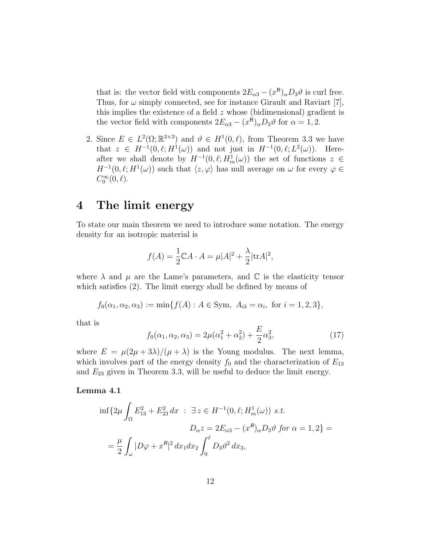that is: the vector field with components  $2E_{\alpha 3} - (x^{\mathsf{R}})_{\alpha}D_3\vartheta$  is curl free. Thus, for  $\omega$  simply connected, see for instance Girault and Raviart [7], this implies the existence of a field z whose (bidimensional) gradient is the vector field with components  $2E_{\alpha 3} - (x^{\mathsf{R}})_{\alpha}D_3\vartheta$  for  $\alpha = 1, 2$ .

2. Since  $E \in L^2(\Omega;\mathbb{R}^{3\times3})$  and  $\vartheta \in H^1(0,\ell)$ , from Theorem 3.3 we have that  $z \in H^{-1}(0, \ell; H^1(\omega))$  and not just in  $H^{-1}(0, \ell; L^2(\omega))$ . Hereafter we shall denote by  $H^{-1}(0, \ell; H^1_m(\omega))$  the set of functions  $z \in$  $H^{-1}(0, \ell; H^1(\omega))$  such that  $\langle z, \varphi \rangle$  has null average on  $\omega$  for every  $\varphi \in$  $C_0^{\infty}(0,\ell).$ 

# 4 The limit energy

To state our main theorem we need to introduce some notation. The energy density for an isotropic material is

$$
f(A) = \frac{1}{2} \mathbb{C}A \cdot A = \mu |A|^2 + \frac{\lambda}{2} |\text{tr}A|^2,
$$

where  $\lambda$  and  $\mu$  are the Lame's parameters, and  $\mathbb C$  is the elasticity tensor which satisfies (2). The limit energy shall be defined by means of

$$
f_0(\alpha_1, \alpha_2, \alpha_3) := \min\{f(A) : A \in \text{Sym}, A_{i3} = \alpha_i, \text{ for } i = 1, 2, 3\},\
$$

that is

$$
f_0(\alpha_1, \alpha_2, \alpha_3) = 2\mu(\alpha_1^2 + \alpha_2^2) + \frac{E}{2}\alpha_3^2,
$$
 (17)

where  $E = \mu(2\mu + 3\lambda)/(\mu + \lambda)$  is the Young modulus. The next lemma, which involves part of the energy density  $f_0$  and the characterization of  $E_{13}$ and  $E_{23}$  given in Theorem 3.3, will be useful to deduce the limit energy.

Lemma 4.1

$$
\inf \{ 2\mu \int_{\Omega} E_{13}^2 + E_{23}^2 dx \; : \; \exists z \in H^{-1}(0, \ell; H_m^1(\omega)) \; s.t. \; D_{\alpha} z = 2E_{\alpha 3} - (x^R)_{\alpha} D_3 \vartheta \; \text{for} \; \alpha = 1, 2 \} =
$$

$$
= \frac{\mu}{2} \int_{\omega} |D\varphi + x^R|^2 dx_1 dx_2 \int_0^{\ell} D_3 \vartheta^2 dx_3,
$$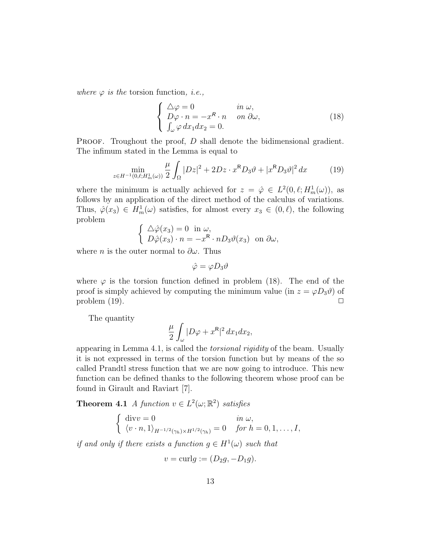where  $\varphi$  is the torsion function, *i.e.*,

$$
\begin{cases}\n\Delta \varphi = 0 & \text{in } \omega, \\
D \varphi \cdot n = -x^R \cdot n & \text{on } \partial \omega, \\
\int_{\omega} \varphi \, dx_1 dx_2 = 0.\n\end{cases}
$$
\n(18)

PROOF. Troughout the proof, D shall denote the bidimensional gradient. The infimum stated in the Lemma is equal to

$$
\min_{z \in H^{-1}(0,\ell;H_m^1(\omega))} \frac{\mu}{2} \int_{\Omega} |Dz|^2 + 2Dz \cdot x^R D_3 \vartheta + |x^R D_3 \vartheta|^2 dx \tag{19}
$$

where the minimum is actually achieved for  $z = \hat{\varphi} \in L^2(0, \ell; H^1_m(\omega))$ , as follows by an application of the direct method of the calculus of variations. Thus,  $\hat{\varphi}(x_3) \in H^1_m(\omega)$  satisfies, for almost every  $x_3 \in (0, \ell)$ , the following problem

$$
\begin{cases} \Delta \hat{\varphi}(x_3) = 0 \text{ in } \omega, \\ D \hat{\varphi}(x_3) \cdot n = -x^{\mathsf{R}} \cdot n D_3 \vartheta(x_3) \text{ on } \partial \omega, \end{cases}
$$

where *n* is the outer normal to  $\partial \omega$ . Thus

$$
\hat{\varphi} = \varphi D_3 \vartheta
$$

where  $\varphi$  is the torsion function defined in problem (18). The end of the proof is simply achieved by computing the minimum value (in  $z = \varphi D_3 \vartheta$ ) of problem  $(19)$ .

The quantity

$$
\frac{\mu}{2} \int_{\omega} |D\varphi + x^{\mathsf{R}}|^2 \, dx_1 dx_2,
$$

appearing in Lemma 4.1, is called the torsional rigidity of the beam. Usually it is not expressed in terms of the torsion function but by means of the so called Prandtl stress function that we are now going to introduce. This new function can be defined thanks to the following theorem whose proof can be found in Girault and Raviart [7].

**Theorem 4.1** A function  $v \in L^2(\omega; \mathbb{R}^2)$  satisfies

$$
\begin{cases} \operatorname{div} v = 0 & \text{in } \omega, \\ \langle v \cdot n, 1 \rangle_{H^{-1/2}(\gamma_h) \times H^{1/2}(\gamma_h)} = 0 & \text{for } h = 0, 1, \dots, I, \end{cases}
$$

if and only if there exists a function  $g \in H^1(\omega)$  such that

$$
v = \text{curl}g := (D_2g, -D_1g).
$$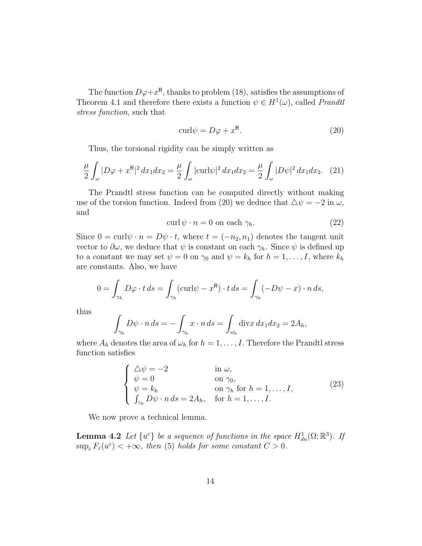The function  $D\varphi+x^{\mathsf{R}}$ , thanks to problem (18), satisfies the assumptions of Theorem 4.1 and therefore there exists a function  $\psi \in H^1(\omega)$ , called *Prandti* stress function, such that

$$
curl \psi = D\varphi + x^{\mathsf{R}}.\tag{20}
$$

Thus, the torsional rigidity can be simply written as

$$
\frac{\mu}{2} \int_{\omega} |D\varphi + x^{\mathsf{R}}|^2 dx_1 dx_2 = \frac{\mu}{2} \int_{\omega} |\text{curl}\psi|^2 dx_1 dx_2 = \frac{\mu}{2} \int_{\omega} |D\psi|^2 dx_1 dx_2. \tag{21}
$$

The Prandtl stress function can be computed directly without making use of the torsion function. Indeed from (20) we deduce that  $\Delta \psi = -2$  in  $\omega$ , and

$$
\operatorname{curl}\psi \cdot n = 0 \text{ on each } \gamma_h. \tag{22}
$$

Since  $0 = \text{curl}\psi \cdot n = D\psi \cdot t$ , where  $t = (-n_2, n_1)$  denotes the tangent unit vector to  $\partial \omega$ , we deduce that  $\psi$  is constant on each  $\gamma_h$ . Since  $\psi$  is defined up to a constant we may set  $\psi = 0$  on  $\gamma_0$  and  $\psi = k_h$  for  $h = 1, \ldots, I$ , where  $k_h$ are constants. Also, we have

$$
0 = \int_{\gamma_h} D\varphi \cdot t \, ds = \int_{\gamma_h} (\text{curl}\psi - x^R) \cdot t \, ds = \int_{\gamma_h} (-D\psi - x) \cdot n \, ds,
$$

thus

$$
\int_{\gamma_h} D\psi \cdot n \, ds = -\int_{\gamma_h} x \cdot n \, ds = \int_{\omega_h} \operatorname{div} x \, dx_1 dx_2 = 2A_h,
$$

where  $A_h$  denotes the area of  $\omega_h$  for  $h = 1, \ldots, I$ . Therefore the Prandtl stress function satisfies

$$
\begin{cases}\n\Delta \psi = -2 & \text{in } \omega, \\
\psi = 0 & \text{on } \gamma_0, \\
\psi = k_h & \text{on } \gamma_h \text{ for } h = 1, ..., I, \\
\int_{\gamma_h} D\psi \cdot n \, ds = 2A_h, & \text{for } h = 1, ..., I.\n\end{cases}
$$
\n(23)

We now prove a technical lemma.

**Lemma 4.2** Let  $\{u^{\varepsilon}\}\$ be a sequence of functions in the space  $H_{dn}^1(\Omega;\mathbb{R}^3)$ . If  $\sup_{\varepsilon} F_{\varepsilon}(u^{\varepsilon}) < +\infty$ , then (5) holds for some constant  $C > 0$ .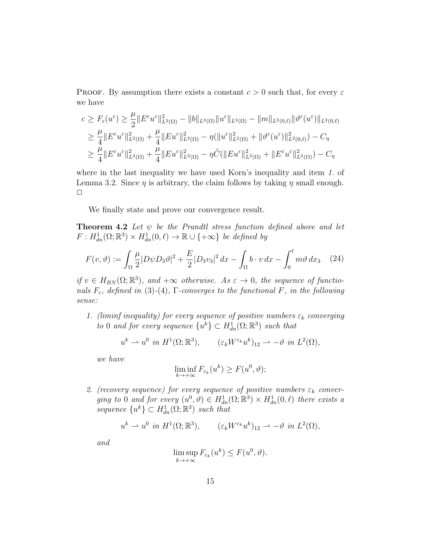**PROOF.** By assumption there exists a constant  $c > 0$  such that, for every  $\varepsilon$ we have

$$
c \geq F_{\varepsilon}(u^{\varepsilon}) \geq \frac{\mu}{2} \|E^{\varepsilon}u^{\varepsilon}\|_{L^{2}(\Omega)}^{2} - \|b\|_{L^{2}(\Omega)} \|u^{\varepsilon}\|_{L^{2}(\Omega)} - \|m\|_{L^{2}(0,\ell)} \|\vartheta^{\varepsilon}(u^{\varepsilon})\|_{L^{2}(0,\ell)}
$$
  
\n
$$
\geq \frac{\mu}{4} \|E^{\varepsilon}u^{\varepsilon}\|_{L^{2}(\Omega)}^{2} + \frac{\mu}{4} \|Eu^{\varepsilon}\|_{L^{2}(\Omega)}^{2} - \eta (\|u^{\varepsilon}\|_{L^{2}(\Omega)}^{2} + \|\vartheta^{\varepsilon}(u^{\varepsilon})\|_{L^{2}(0,\ell)}^{2}) - C_{\eta}
$$
  
\n
$$
\geq \frac{\mu}{4} \|E^{\varepsilon}u^{\varepsilon}\|_{L^{2}(\Omega)}^{2} + \frac{\mu}{4} \|Eu^{\varepsilon}\|_{L^{2}(\Omega)}^{2} - \eta \tilde{C}(\|Eu^{\varepsilon}\|_{L^{2}(\Omega)}^{2} + \|E^{\varepsilon}u^{\varepsilon}\|_{L^{2}(\Omega)}^{2}) - C_{\eta}
$$

where in the last inequality we have used Korn's inequality and item 1. of Lemma 3.2. Since  $\eta$  is arbitrary, the claim follows by taking  $\eta$  small enough.  $\Box$ 

We finally state and prove our convergence result.

**Theorem 4.2** Let  $\psi$  be the Prandtl stress function defined above and let  $F: H^1_{dn}(\Omega;\mathbb{R}^3) \times H^1_{dn}(0,\ell) \to \mathbb{R} \cup \{+\infty\}$  be defined by

$$
F(v,\vartheta) := \int_{\Omega} \frac{\mu}{2} |D\psi D_3\vartheta|^2 + \frac{E}{2} |D_3v_3|^2 dx - \int_{\Omega} b \cdot v dx - \int_0^{\ell} m\vartheta dx_3 \quad (24)
$$

if  $v \in H_{BN}(\Omega;\mathbb{R}^3)$ , and  $+\infty$  otherwise. As  $\varepsilon \to 0$ , the sequence of functionals  $F_{\varepsilon}$ , defined in (3)-(4), Γ-converges to the functional F, in the following sense:

1. (liminf inequality) for every sequence of positive numbers  $\varepsilon_k$  converging to 0 and for every sequence  $\{u^k\} \subset H^1_{dn}(\Omega;\mathbb{R}^3)$  such that

$$
u^k \rightharpoonup u^0 \ \ in \ H^1(\Omega; \mathbb{R}^3), \qquad (\varepsilon_k W^{\varepsilon_k} u^k)_{12} \rightharpoonup -\vartheta \ \ in \ L^2(\Omega),
$$

we have

$$
\liminf_{k \to +\infty} F_{\varepsilon_k}(u^k) \ge F(u^0, \vartheta);
$$

2. (recovery sequence) for every sequence of positive numbers  $\varepsilon_k$  converging to 0 and for every  $(u^0, \vartheta) \in H^1_{dn}(\Omega; \mathbb{R}^3) \times H^1_{dn}(0, \ell)$  there exists a sequence  $\{u^k\} \subset H^1_{dn}(\Omega;\mathbb{R}^3)$  such that

$$
u^k \rightharpoonup u^0
$$
 in  $H^1(\Omega; \mathbb{R}^3)$ ,  $(\varepsilon_k W^{\varepsilon_k} u^k)_{12} \rightharpoonup -\vartheta$  in  $L^2(\Omega)$ ,

and

$$
\limsup_{k \to +\infty} F_{\varepsilon_k}(u^k) \le F(u^0, \vartheta).
$$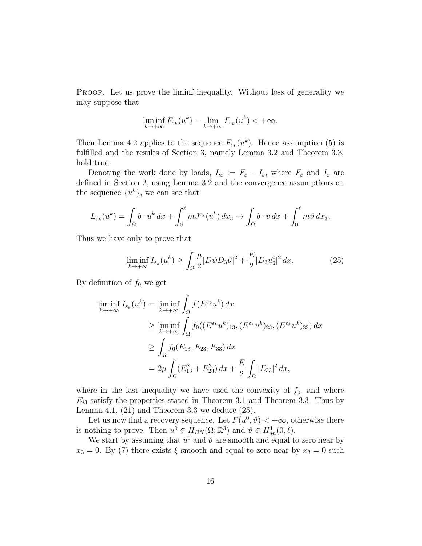PROOF. Let us prove the liminf inequality. Without loss of generality we may suppose that

$$
\liminf_{k \to +\infty} F_{\varepsilon_k}(u^k) = \lim_{k \to +\infty} F_{\varepsilon_k}(u^k) < +\infty.
$$

Then Lemma 4.2 applies to the sequence  $F_{\varepsilon_k}(u^k)$ . Hence assumption (5) is fulfilled and the results of Section 3, namely Lemma 3.2 and Theorem 3.3, hold true.

Denoting the work done by loads,  $L_{\varepsilon} := F_{\varepsilon} - I_{\varepsilon}$ , where  $F_{\varepsilon}$  and  $I_{\varepsilon}$  are defined in Section 2, using Lemma 3.2 and the convergence assumptions on the sequence  $\{u^k\}$ , we can see that

$$
L_{\varepsilon_k}(u^k) = \int_{\Omega} b \cdot u^k \, dx + \int_0^{\ell} m \vartheta^{\varepsilon_k}(u^k) \, dx_3 \to \int_{\Omega} b \cdot v \, dx + \int_0^{\ell} m \vartheta \, dx_3.
$$

Thus we have only to prove that

$$
\liminf_{k \to +\infty} I_{\varepsilon_k}(u^k) \ge \int_{\Omega} \frac{\mu}{2} |D\psi D_3 v|^2 + \frac{E}{2} |D_3 u_3^0|^2 dx. \tag{25}
$$

By definition of  $f_0$  we get

$$
\liminf_{k \to +\infty} I_{\varepsilon_k}(u^k) = \liminf_{k \to +\infty} \int_{\Omega} f(E^{\varepsilon_k} u^k) dx
$$
\n
$$
\geq \liminf_{k \to +\infty} \int_{\Omega} f_0((E^{\varepsilon_k} u^k)_{13}, (E^{\varepsilon_k} u^k)_{23}, (E^{\varepsilon_k} u^k)_{33}) dx
$$
\n
$$
\geq \int_{\Omega} f_0(E_{13}, E_{23}, E_{33}) dx
$$
\n
$$
= 2\mu \int_{\Omega} (E_{13}^2 + E_{23}^2) dx + \frac{E}{2} \int_{\Omega} |E_{33}|^2 dx,
$$

where in the last inequality we have used the convexity of  $f_0$ , and where  $E_{i3}$  satisfy the properties stated in Theorem 3.1 and Theorem 3.3. Thus by Lemma 4.1,  $(21)$  and Theorem 3.3 we deduce  $(25)$ .

Let us now find a recovery sequence. Let  $F(u^0, \theta) < +\infty$ , otherwise there is nothing to prove. Then  $u^0 \in H_{BN}(\Omega;\mathbb{R}^3)$  and  $\vartheta \in H_{dn}^1(0,\ell)$ .

We start by assuming that  $u^0$  and  $\vartheta$  are smooth and equal to zero near by  $x_3 = 0$ . By (7) there exists  $\xi$  smooth and equal to zero near by  $x_3 = 0$  such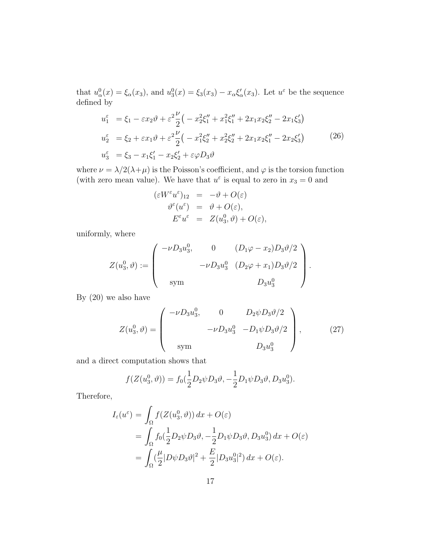that  $u_{\alpha}^{0}(x) = \xi_{\alpha}(x_3)$ , and  $u_{3}^{0}(x) = \xi_{3}(x_3) - x_{\alpha}\xi_{\alpha}'(x_3)$ . Let  $u^{\varepsilon}$  be the sequence defined by

$$
u_1^{\varepsilon} = \xi_1 - \varepsilon x_2 \vartheta + \varepsilon^2 \frac{\nu}{2} \left( -x_2^2 \xi_1'' + x_1^2 \xi_1'' + 2x_1 x_2 \xi_2'' - 2x_1 \xi_3' \right)
$$
  
\n
$$
u_2^{\varepsilon} = \xi_2 + \varepsilon x_1 \vartheta + \varepsilon^2 \frac{\nu}{2} \left( -x_1^2 \xi_2'' + x_2^2 \xi_2'' + 2x_1 x_2 \xi_1'' - 2x_2 \xi_3' \right)
$$
  
\n
$$
u_3^{\varepsilon} = \xi_3 - x_1 \xi_1' - x_2 \xi_2' + \varepsilon \varphi D_3 \vartheta
$$
\n(26)

where  $\nu = \lambda/2(\lambda + \mu)$  is the Poisson's coefficient, and  $\varphi$  is the torsion function (with zero mean value). We have that  $u^{\varepsilon}$  is equal to zero in  $x_3 = 0$  and

$$
\begin{array}{rcl}\n(\varepsilon W^{\varepsilon}u^{\varepsilon})_{12} & = & -\vartheta + O(\varepsilon) \\
\vartheta^{\varepsilon}(u^{\varepsilon}) & = & \vartheta + O(\varepsilon), \\
E^{\varepsilon}u^{\varepsilon} & = & Z(u_3^0, \vartheta) + O(\varepsilon),\n\end{array}
$$

uniformly, where

$$
Z(u_3^0, \vartheta) := \begin{pmatrix} -\nu D_3 u_3^0, & 0 & (D_1 \varphi - x_2) D_3 \vartheta / 2 \\ & -\nu D_3 u_3^0 & (D_2 \varphi + x_1) D_3 \vartheta / 2 \\ \text{sym} & D_3 u_3^0 \end{pmatrix}.
$$

By (20) we also have

$$
Z(u_3^0, \vartheta) = \begin{pmatrix} -\nu D_3 u_3^0, & 0 & D_2 \psi D_3 \vartheta / 2 \\ -\nu D_3 u_3^0 & -D_1 \psi D_3 \vartheta / 2 \\ \text{sym} & D_3 u_3^0 \end{pmatrix},
$$
 (27)

and a direct computation shows that

$$
f(Z(u_3^0, \vartheta)) = f_0(\frac{1}{2}D_2\psi D_3\vartheta, -\frac{1}{2}D_1\psi D_3\vartheta, D_3u_3^0).
$$

Therefore,

$$
I_{\varepsilon}(u^{\varepsilon}) = \int_{\Omega} f(Z(u_3^0, \vartheta)) dx + O(\varepsilon)
$$
  
= 
$$
\int_{\Omega} f_0(\frac{1}{2}D_2\psi D_3\vartheta, -\frac{1}{2}D_1\psi D_3\vartheta, D_3u_3^0) dx + O(\varepsilon)
$$
  
= 
$$
\int_{\Omega} (\frac{\mu}{2}|D\psi D_3\vartheta|^2 + \frac{E}{2}|D_3u_3^0|^2) dx + O(\varepsilon).
$$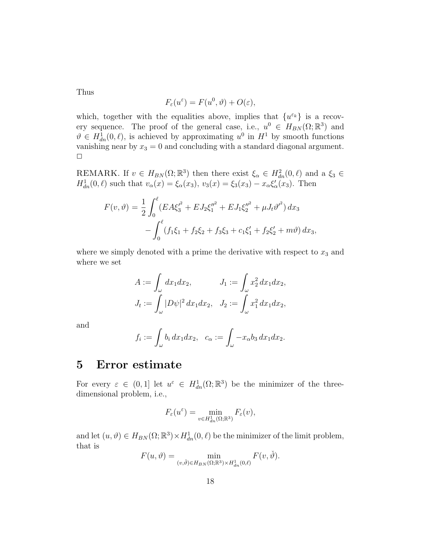Thus

$$
F_{\varepsilon}(u^{\varepsilon}) = F(u^0, \vartheta) + O(\varepsilon),
$$

which, together with the equalities above, implies that  $\{u^{\varepsilon_k}\}\$ is a recovery sequence. The proof of the general case, i.e.,  $u^0 \in H_{BN}(\Omega;\mathbb{R}^3)$  and  $\vartheta \in H_{dn}^1(0,\ell)$ , is achieved by approximating  $u^0$  in  $H^1$  by smooth functions vanishing near by  $x_3 = 0$  and concluding with a standard diagonal argument.  $\Box$ 

REMARK. If  $v \in H_{BN}(\Omega;\mathbb{R}^3)$  then there exist  $\xi_\alpha \in H_{dn}^2(0,\ell)$  and a  $\xi_3 \in$  $H_{dn}^1(0, \ell)$  such that  $v_\alpha(x) = \xi_\alpha(x_3), v_3(x) = \xi_3(x_3) - x_\alpha \xi'_\alpha(x_3)$ . Then

$$
F(v,\vartheta) = \frac{1}{2} \int_0^{\ell} (EA\xi_3^{\prime^2} + E J_2\xi_1^{\prime\prime^2} + E J_1\xi_2^{\prime\prime^2} + \mu J_t\vartheta^{\prime^2}) dx_3
$$
  
- 
$$
\int_0^{\ell} (f_1\xi_1 + f_2\xi_2 + f_3\xi_3 + c_1\xi_1^{\prime} + f_2\xi_2^{\prime} + m\vartheta) dx_3,
$$

where we simply denoted with a prime the derivative with respect to  $x_3$  and where we set

$$
A := \int_{\omega} dx_1 dx_2, \qquad J_1 := \int_{\omega} x_2^2 dx_1 dx_2, J_t := \int_{\omega} |D\psi|^2 dx_1 dx_2, \quad J_2 := \int_{\omega} x_1^2 dx_1 dx_2,
$$

and

$$
f_i := \int_{\omega} b_i dx_1 dx_2, \quad c_{\alpha} := \int_{\omega} -x_{\alpha} b_3 dx_1 dx_2.
$$

## 5 Error estimate

For every  $\varepsilon \in (0,1]$  let  $u^{\varepsilon} \in H^1_{dn}(\Omega;\mathbb{R}^3)$  be the minimizer of the threedimensional problem, i.e.,

$$
F_{\varepsilon}(u^{\varepsilon}) = \min_{v \in H_{dn}^1(\Omega; \mathbb{R}^3)} F_{\varepsilon}(v),
$$

and let  $(u, \vartheta) \in H_{BN}(\Omega; \mathbb{R}^3) \times H^1_{dn}(0, \ell)$  be the minimizer of the limit problem, that is

$$
F(u, \vartheta) = \min_{(v, \check{\vartheta}) \in H_{BN}(\Omega; \mathbb{R}^3) \times H_{dn}^1(0, \ell)} F(v, \check{\vartheta}).
$$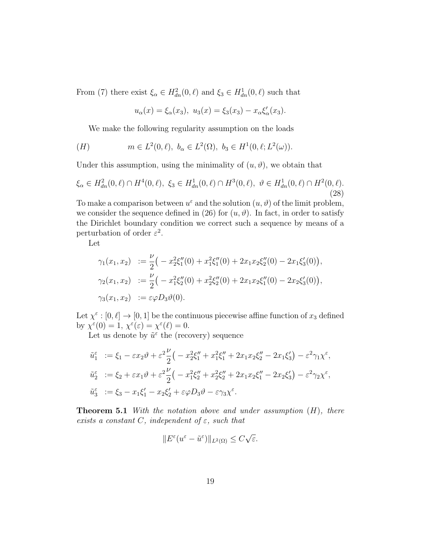From (7) there exist  $\xi_{\alpha} \in H_{dn}^2(0, \ell)$  and  $\xi_3 \in H_{dn}^1(0, \ell)$  such that

$$
u_{\alpha}(x) = \xi_{\alpha}(x_3), \ u_3(x) = \xi_3(x_3) - x_{\alpha}\xi'_{\alpha}(x_3).
$$

We make the following regularity assumption on the loads

(H) 
$$
m \in L^2(0, \ell), b_\alpha \in L^2(\Omega), b_3 \in H^1(0, \ell; L^2(\omega)).
$$

Under this assumption, using the minimality of  $(u, \vartheta)$ , we obtain that

$$
\xi_{\alpha} \in H_{dn}^{2}(0,\ell) \cap H^{4}(0,\ell), \ \xi_{3} \in H_{dn}^{1}(0,\ell) \cap H^{3}(0,\ell), \ \vartheta \in H_{dn}^{1}(0,\ell) \cap H^{2}(0,\ell). \tag{28}
$$

To make a comparison between  $u^{\varepsilon}$  and the solution  $(u, \vartheta)$  of the limit problem, we consider the sequence defined in (26) for  $(u, \vartheta)$ . In fact, in order to satisfy the Dirichlet boundary condition we correct such a sequence by means of a perturbation of order  $\varepsilon^2$ .

Let

$$
\gamma_1(x_1, x_2) := \frac{\nu}{2} \Big( -x_2^2 \xi_1''(0) + x_1^2 \xi_1''(0) + 2x_1 x_2 \xi_2''(0) - 2x_1 \xi_3'(0) \Big),
$$
  
\n
$$
\gamma_2(x_1, x_2) := \frac{\nu}{2} \Big( -x_1^2 \xi_2''(0) + x_2^2 \xi_2''(0) + 2x_1 x_2 \xi_1''(0) - 2x_2 \xi_3'(0) \Big),
$$
  
\n
$$
\gamma_3(x_1, x_2) := \varepsilon \varphi D_3 \vartheta(0).
$$

Let  $\chi^{\varepsilon} : [0, \ell] \to [0, 1]$  be the continuous piecewise affine function of  $x_3$  defined by  $\chi^{\varepsilon}(0) = 1$ ,  $\chi^{\varepsilon}(\varepsilon) = \chi^{\varepsilon}(\ell) = 0$ .

Let us denote by  $\tilde{u}^{\varepsilon}$  the (recovery) sequence

$$
\tilde{u}_1^{\varepsilon} := \xi_1 - \varepsilon x_2 \vartheta + \varepsilon^2 \frac{\nu}{2} \left( -x_2^2 \xi_1'' + x_1^2 \xi_1'' + 2x_1 x_2 \xi_2'' - 2x_1 \xi_3' \right) - \varepsilon^2 \gamma_1 \chi^{\varepsilon},
$$
  

$$
\tilde{u}_2^{\varepsilon} := \xi_2 + \varepsilon x_1 \vartheta + \varepsilon^2 \frac{\nu}{2} \left( -x_1^2 \xi_2'' + x_2^2 \xi_2'' + 2x_1 x_2 \xi_1'' - 2x_2 \xi_3' \right) - \varepsilon^2 \gamma_2 \chi^{\varepsilon},
$$
  

$$
\tilde{u}_3^{\varepsilon} := \xi_3 - x_1 \xi_1' - x_2 \xi_2' + \varepsilon \varphi D_3 \vartheta - \varepsilon \gamma_3 \chi^{\varepsilon}.
$$

**Theorem 5.1** With the notation above and under assumption  $(H)$ , there exists a constant C, independent of  $\varepsilon$ , such that

$$
||E^{\varepsilon}(u^{\varepsilon}-\tilde{u}^{\varepsilon})||_{L^{2}(\Omega)} \leq C\sqrt{\varepsilon}.
$$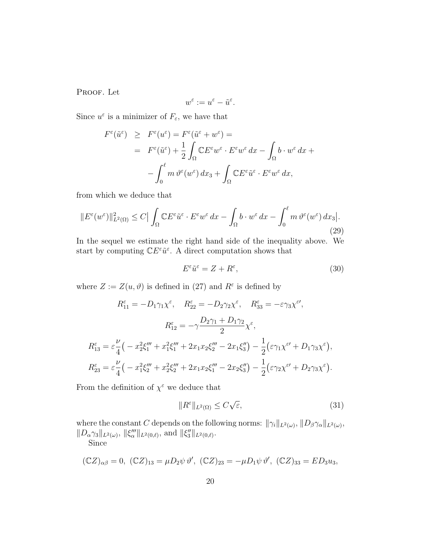PROOF. Let

$$
w^\varepsilon:=u^\varepsilon-\tilde{u}^\varepsilon.
$$

Since  $u^{\varepsilon}$  is a minimizer of  $F_{\varepsilon}$ , we have that

$$
F^{\varepsilon}(\tilde{u}^{\varepsilon}) \geq F^{\varepsilon}(u^{\varepsilon}) = F^{\varepsilon}(\tilde{u}^{\varepsilon} + w^{\varepsilon}) =
$$
  

$$
= F^{\varepsilon}(\tilde{u}^{\varepsilon}) + \frac{1}{2} \int_{\Omega} \mathbb{C} E^{\varepsilon} w^{\varepsilon} \cdot E^{\varepsilon} w^{\varepsilon} dx - \int_{\Omega} b \cdot w^{\varepsilon} dx +
$$

$$
- \int_{0}^{\ell} m \,\vartheta^{\varepsilon}(w^{\varepsilon}) dx_{3} + \int_{\Omega} \mathbb{C} E^{\varepsilon} \tilde{u}^{\varepsilon} \cdot E^{\varepsilon} w^{\varepsilon} dx,
$$

from which we deduce that

$$
||E^{\varepsilon}(w^{\varepsilon})||_{L^{2}(\Omega)}^{2} \leq C\left|\int_{\Omega} \mathbb{C}E^{\varepsilon}\tilde{u}^{\varepsilon} \cdot E^{\varepsilon}w^{\varepsilon} dx - \int_{\Omega} b \cdot w^{\varepsilon} dx - \int_{0}^{\ell} m \vartheta^{\varepsilon}(w^{\varepsilon}) dx_{3}\right|.
$$
\n(29)

In the sequel we estimate the right hand side of the inequality above. We start by computing  $\mathbb{C}E^{\varepsilon}\tilde{u}^{\varepsilon}$ . A direct computation shows that

$$
E^{\varepsilon} \tilde{u}^{\varepsilon} = Z + R^{\varepsilon},\tag{30}
$$

where  $Z := Z(u, \vartheta)$  is defined in (27) and  $R^{\varepsilon}$  is defined by

$$
R_{11}^{\varepsilon} = -D_1 \gamma_1 \chi^{\varepsilon}, \quad R_{22}^{\varepsilon} = -D_2 \gamma_2 \chi^{\varepsilon}, \quad R_{33}^{\varepsilon} = -\varepsilon \gamma_3 \chi^{\varepsilon'},
$$

$$
R_{12}^{\varepsilon} = -\gamma \frac{D_2 \gamma_1 + D_1 \gamma_2}{2} \chi^{\varepsilon},
$$

$$
R_{13}^{\varepsilon} = \varepsilon \frac{\nu}{4} \left( -x_2^2 \xi_1''' + x_1^2 \xi_1''' + 2x_1 x_2 \xi_2''' - 2x_1 \xi_3'' \right) - \frac{1}{2} \left( \varepsilon \gamma_1 \chi^{\varepsilon'} + D_1 \gamma_3 \chi^{\varepsilon} \right),
$$

$$
R_{23}^{\varepsilon} = \varepsilon \frac{\nu}{4} \left( -x_1^2 \xi_2''' + x_2^2 \xi_2''' + 2x_1 x_2 \xi_1''' - 2x_2 \xi_3'' \right) - \frac{1}{2} \left( \varepsilon \gamma_2 \chi^{\varepsilon'} + D_2 \gamma_3 \chi^{\varepsilon} \right).
$$

From the definition of  $\chi^{\varepsilon}$  we deduce that

$$
||R^{\varepsilon}||_{L^{2}(\Omega)} \leq C\sqrt{\varepsilon},\tag{31}
$$

where the constant C depends on the following norms:  $\|\gamma_i\|_{L^2(\omega)}, \|D_\beta\gamma_\alpha\|_{L^2(\omega)},$  $||D_{\alpha}\gamma_3||_{L^2(\omega)},$   $||\xi''_{{\alpha}}||_{L^2(0,\ell)}$ , and  $||\xi''_3||_{L^2(0,\ell)}$ . Since

$$
(\mathbb{C}Z)_{\alpha\beta}=0, \ (\mathbb{C}Z)_{13}=\mu D_2\psi \,\vartheta', \ (\mathbb{C}Z)_{23}=-\mu D_1\psi \,\vartheta', \ (\mathbb{C}Z)_{33}=ED_3u_3,
$$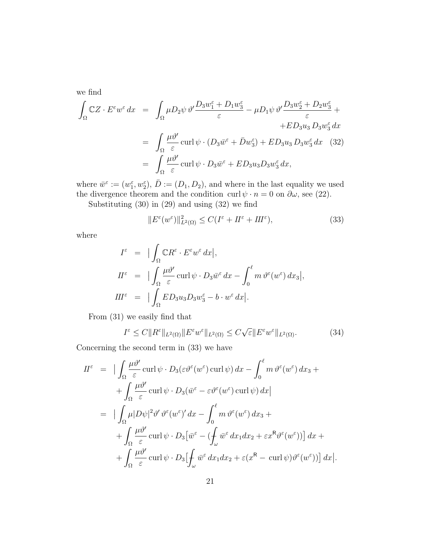we find

$$
\int_{\Omega} \mathbb{C}Z \cdot E^{\varepsilon} w^{\varepsilon} dx = \int_{\Omega} \mu D_2 \psi \, \vartheta' \frac{D_3 w_1^{\varepsilon} + D_1 w_3^{\varepsilon}}{\varepsilon} - \mu D_1 \psi \, \vartheta' \frac{D_3 w_2^{\varepsilon} + D_2 w_3^{\varepsilon}}{\varepsilon} + \n+ ED_3 u_3 D_3 w_3^{\varepsilon} dx \n= \int_{\Omega} \frac{\mu \vartheta'}{\varepsilon} \operatorname{curl} \psi \cdot (D_3 \bar{w}^{\varepsilon} + \bar{D} w_3^{\varepsilon}) + ED_3 u_3 D_3 w_3^{\varepsilon} dx \quad (32) \n= \int_{\Omega} \frac{\mu \vartheta'}{\varepsilon} \operatorname{curl} \psi \cdot D_3 \bar{w}^{\varepsilon} + ED_3 u_3 D_3 w_3^{\varepsilon} dx,
$$

where  $\bar{w}^{\varepsilon} := (w_1^{\varepsilon}, w_2^{\varepsilon}), \bar{D} := (D_1, D_2)$ , and where in the last equality we used the divergence theorem and the condition curl  $\psi \cdot n = 0$  on  $\partial \omega$ , see (22).

Substituting (30) in (29) and using (32) we find

$$
||E^{\varepsilon}(w^{\varepsilon})||_{L^{2}(\Omega)}^{2} \le C(I^{\varepsilon} + II^{\varepsilon} + III^{\varepsilon}), \tag{33}
$$

where

$$
I^{\varepsilon} = |\int_{\Omega} \mathbb{C}R^{\varepsilon} \cdot E^{\varepsilon} w^{\varepsilon} dx|,
$$
  
\n
$$
I I^{\varepsilon} = |\int_{\Omega} \frac{\mu \vartheta'}{\varepsilon} \operatorname{curl} \psi \cdot D_3 \overline{w}^{\varepsilon} dx - \int_0^{\ell} m \vartheta^{\varepsilon} (w^{\varepsilon}) dx_3|,
$$
  
\n
$$
I I I^{\varepsilon} = |\int_{\Omega} E D_3 u_3 D_3 w_3^{\varepsilon} - b \cdot w^{\varepsilon} dx|.
$$

From (31) we easily find that

$$
I^{\varepsilon} \le C \|R^{\varepsilon}\|_{L^{2}(\Omega)} \|E^{\varepsilon}w^{\varepsilon}\|_{L^{2}(\Omega)} \le C\sqrt{\varepsilon} \|E^{\varepsilon}w^{\varepsilon}\|_{L^{2}(\Omega)}.
$$
 (34)

Concerning the second term in (33) we have

$$
II^{\varepsilon} = \Big| \int_{\Omega} \frac{\mu \vartheta'}{\varepsilon} \operatorname{curl} \psi \cdot D_{3}(\varepsilon \vartheta^{\varepsilon} (w^{\varepsilon}) \operatorname{curl} \psi) dx - \int_{0}^{\ell} m \vartheta^{\varepsilon} (w^{\varepsilon}) dx_{3} +
$$
  
+ 
$$
\int_{\Omega} \frac{\mu \vartheta'}{\varepsilon} \operatorname{curl} \psi \cdot D_{3}(\bar{w}^{\varepsilon} - \varepsilon \vartheta^{\varepsilon} (w^{\varepsilon}) \operatorname{curl} \psi) dx \Big|
$$
  
= 
$$
\Big| \int_{\Omega} \mu |D\psi|^{2} \vartheta' \vartheta^{\varepsilon} (w^{\varepsilon})' dx - \int_{0}^{\ell} m \vartheta^{\varepsilon} (w^{\varepsilon}) dx_{3} +
$$
  
+ 
$$
\int_{\Omega} \frac{\mu \vartheta'}{\varepsilon} \operatorname{curl} \psi \cdot D_{3} [\bar{w}^{\varepsilon} - (\int_{\omega} \bar{w}^{\varepsilon} dx_{1} dx_{2} + \varepsilon x^{R} \vartheta^{\varepsilon} (w^{\varepsilon}))] dx +
$$
  
+ 
$$
\int_{\Omega} \frac{\mu \vartheta'}{\varepsilon} \operatorname{curl} \psi \cdot D_{3} [\int_{\omega} \bar{w}^{\varepsilon} dx_{1} dx_{2} + \varepsilon (x^{R} - \operatorname{curl} \psi) \vartheta^{\varepsilon} (w^{\varepsilon}))] dx \Big|.
$$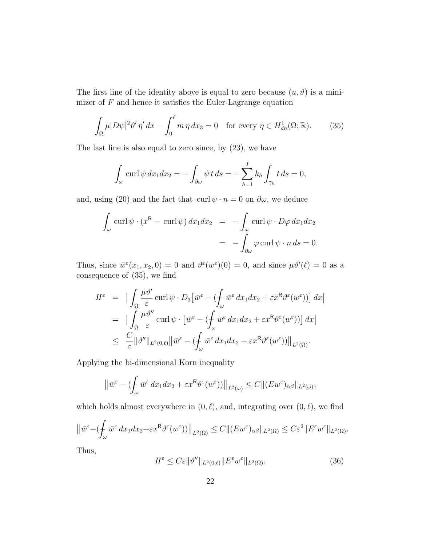The first line of the identity above is equal to zero because  $(u, \vartheta)$  is a minimizer of  $F$  and hence it satisfies the Euler-Lagrange equation

$$
\int_{\Omega} \mu |D\psi|^2 \vartheta' \eta' dx - \int_0^{\ell} m \eta dx_3 = 0 \quad \text{for every } \eta \in H^1_{dn}(\Omega; \mathbb{R}).\tag{35}
$$

The last line is also equal to zero since, by (23), we have

$$
\int_{\omega} \operatorname{curl} \psi \, dx_1 dx_2 = -\int_{\partial \omega} \psi \, t \, ds = -\sum_{h=1}^{I} k_h \int_{\gamma_h} t \, ds = 0,
$$

and, using (20) and the fact that curl  $\psi \cdot n = 0$  on  $\partial \omega$ , we deduce

$$
\int_{\omega} \operatorname{curl} \psi \cdot (x^{\mathsf{R}} - \operatorname{curl} \psi) dx_1 dx_2 = -\int_{\omega} \operatorname{curl} \psi \cdot D\varphi dx_1 dx_2
$$

$$
= -\int_{\partial \omega} \varphi \operatorname{curl} \psi \cdot n ds = 0.
$$

Thus, since  $\bar{w}^{\varepsilon}(x_1, x_2, 0) = 0$  and  $\vartheta^{\varepsilon}(w^{\varepsilon})(0) = 0$ , and since  $\mu \vartheta'(\ell) = 0$  as a consequence of (35), we find

$$
II^{\varepsilon} = \left| \int_{\Omega} \frac{\mu \vartheta'}{\varepsilon} \operatorname{curl} \psi \cdot D_3 \left[ \bar{w}^{\varepsilon} - \left( \int_{\omega} \bar{w}^{\varepsilon} dx_1 dx_2 + \varepsilon x^{\mathsf{R}} \vartheta^{\varepsilon} (w^{\varepsilon}) \right) \right] dx \right|
$$
  
\n
$$
= \left| \int_{\Omega} \frac{\mu \vartheta''}{\varepsilon} \operatorname{curl} \psi \cdot \left[ \bar{w}^{\varepsilon} - \left( \int_{\omega} \bar{w}^{\varepsilon} dx_1 dx_2 + \varepsilon x^{\mathsf{R}} \vartheta^{\varepsilon} (w^{\varepsilon}) \right) \right] dx \right|
$$
  
\n
$$
\leq \left| \int_{\varepsilon} \frac{\mu \vartheta''}{\varepsilon} \right| \left| \vartheta'' \right| \left|_{L^2(0,\ell)} \right| \left| \bar{w}^{\varepsilon} - \left( \int_{\omega} \bar{w}^{\varepsilon} dx_1 dx_2 + \varepsilon x^{\mathsf{R}} \vartheta^{\varepsilon} (w^{\varepsilon}) \right) \right| \left|_{L^2(\Omega)} .
$$

Applying the bi-dimensional Korn inequality

$$
\left\|\bar{w}^{\varepsilon} - (\int_{\omega} \bar{w}^{\varepsilon} dx_1 dx_2 + \varepsilon x^{\mathsf{R}} \vartheta^{\varepsilon}(w^{\varepsilon}))\right\|_{L^2(\omega)} \leq C \|(E w^{\varepsilon})_{\alpha\beta}\|_{L^2(\omega)},
$$

which holds almost everywhere in  $(0, \ell)$ , and, integrating over  $(0, \ell)$ , we find

$$
\left\|\bar{w}^{\varepsilon}-(\int_{\omega}\bar{w}^{\varepsilon}\,dx_1dx_2+\varepsilon x^{\mathsf{R}}\vartheta^{\varepsilon}(w^{\varepsilon}))\right\|_{L^2(\Omega)}\leq C\|(Ew^{\varepsilon})_{\alpha\beta}\|_{L^2(\Omega)}\leq C\varepsilon^2\|E^{\varepsilon}w^{\varepsilon}\|_{L^2(\Omega)}.
$$

Thus,

$$
H^{\varepsilon} \le C\varepsilon \|\vartheta''\|_{L^{2}(0,\ell)} \|E^{\varepsilon}w^{\varepsilon}\|_{L^{2}(\Omega)}.
$$
\n(36)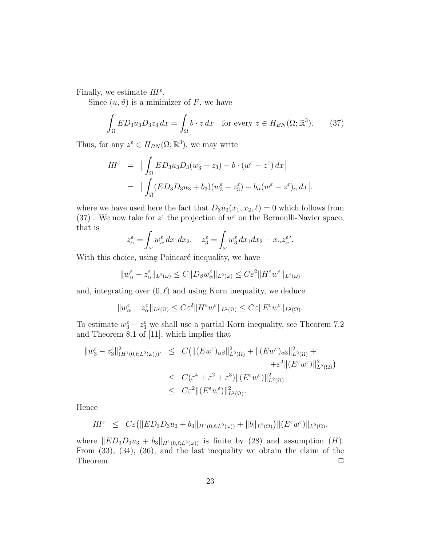Finally, we estimate  $III^{\varepsilon}$ .

Since  $(u, \vartheta)$  is a minimizer of F, we have

$$
\int_{\Omega} ED_3 u_3 D_3 z_3 dx = \int_{\Omega} b \cdot z dx \quad \text{for every } z \in H_{BN}(\Omega; \mathbb{R}^3). \tag{37}
$$

Thus, for any  $z^{\varepsilon} \in H_{BN}(\Omega;\mathbb{R}^3)$ , we may write

$$
III^{\varepsilon} = \left| \int_{\Omega} ED_3 u_3 D_3 (w_3^{\varepsilon} - z_3) - b \cdot (w^{\varepsilon} - z^{\varepsilon}) dx \right|
$$
  
= 
$$
\left| \int_{\Omega} (ED_3 D_3 u_3 + b_3) (w_3^{\varepsilon} - z_3^{\varepsilon}) - b_{\alpha} (w^{\varepsilon} - z^{\varepsilon})_{\alpha} dx \right|.
$$

where we have used here the fact that  $D_3u_3(x_1, x_2, \ell) = 0$  which follows from (37). We now take for  $z^{\varepsilon}$  the projection of  $w^{\varepsilon}$  on the Bernoulli-Navier space, that is

$$
z_{\alpha}^{\varepsilon} = \int_{\omega} w_{\alpha}^{\varepsilon} dx_1 dx_2, \quad z_3^{\varepsilon} = \int_{\omega} w_3^{\varepsilon} dx_1 dx_2 - x_{\alpha} z_{\alpha}^{\varepsilon}.
$$

With this choice, using Poincaré inequality, we have

$$
||w_{\alpha}^{\varepsilon} - z_{\alpha}^{\varepsilon}||_{L^{2}(\omega)} \leq C||D_{\beta}w_{\alpha}^{\varepsilon}||_{L^{2}(\omega)} \leq C\varepsilon^{2}||H^{\varepsilon}w^{\varepsilon}||_{L^{2}(\omega)}
$$

and, integrating over  $(0, \ell)$  and using Korn inequality, we deduce

$$
||w_{\alpha}^{\varepsilon} - z_{\alpha}^{\varepsilon}||_{L^{2}(\Omega)} \leq C\varepsilon^{2}||H^{\varepsilon}w^{\varepsilon}||_{L^{2}(\Omega)} \leq C\varepsilon||E^{\varepsilon}w^{\varepsilon}||_{L^{2}(\Omega)}.
$$

To estimate  $w_3^{\varepsilon} - z_3^{\varepsilon}$  we shall use a partial Korn inequality, see Theorem 7.2 and Theorem 8.1 of [11], which implies that

$$
\|w_3^{\varepsilon} - z_3^{\varepsilon}\|_{(H^1(0,\ell;L^2(\omega)))'}^2 \leq C \big( \| (Ew^{\varepsilon})_{\alpha\beta} \|_{L^2(\Omega)}^2 + \| (Ew^{\varepsilon})_{\alpha 3} \|_{L^2(\Omega)}^2 + \varepsilon^3 \| (E^{\varepsilon}w^{\varepsilon}) \|_{L^2(\Omega)}^2 \big)
$$
  

$$
\leq C(\varepsilon^4 + \varepsilon^2 + \varepsilon^3) \| (E^{\varepsilon}w^{\varepsilon}) \|_{L^2(\Omega)}^2
$$
  

$$
\leq C\varepsilon^2 \| (E^{\varepsilon}w^{\varepsilon}) \|_{L^2(\Omega)}^2.
$$

Hence

$$
III^{\varepsilon} \leq C\varepsilon \big( \|ED_3D_3u_3+b_3\|_{H^1(0,\ell;L^2(\omega))}+ \|b\|_{L^2(\Omega)} \big) \|(E^{\varepsilon}w^{\varepsilon})\|_{L^2(\Omega)},
$$

where  $||ED_3D_3u_3 + b_3||_{H^1(0,\ell;L^2(\omega))}$  is finite by (28) and assumption (H). From (33), (34), (36), and the last inequality we obtain the claim of the Theorem.  $\Box$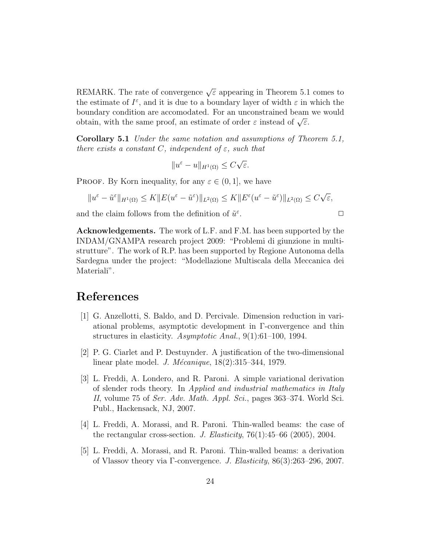REMARK. The rate of convergence  $\sqrt{\varepsilon}$  appearing in Theorem 5.1 comes to the estimate of  $I^{\varepsilon}$ , and it is due to a boundary layer of width  $\varepsilon$  in which the boundary condition are accomodated. For an unconstrained beam we would boundary condition are accomodated. For an unconstrained beam<br>obtain, with the same proof, an estimate of order  $\varepsilon$  instead of  $\sqrt{\varepsilon}$ .

Corollary 5.1 Under the same notation and assumptions of Theorem 5.1, there exists a constant C, independent of  $\varepsilon$ , such that

$$
||u^{\varepsilon} - u||_{H^1(\Omega)} \le C\sqrt{\varepsilon}.
$$

PROOF. By Korn inequality, for any  $\varepsilon \in (0,1]$ , we have

$$
||u^{\varepsilon}-\tilde{u}^{\varepsilon}||_{H^{1}(\Omega)} \leq K||E(u^{\varepsilon}-\tilde{u}^{\varepsilon})||_{L^{2}(\Omega)} \leq K||E^{\varepsilon}(u^{\varepsilon}-\tilde{u}^{\varepsilon})||_{L^{2}(\Omega)} \leq C\sqrt{\varepsilon},
$$

and the claim follows from the definition of  $\tilde{u}^{\varepsilon}$ .  $\Box$ 

Acknowledgements. The work of L.F. and F.M. has been supported by the INDAM/GNAMPA research project 2009: "Problemi di giunzione in multistrutture". The work of R.P. has been supported by Regione Autonoma della Sardegna under the project: "Modellazione Multiscala della Meccanica dei Materiali".

# References

- [1] G. Anzellotti, S. Baldo, and D. Percivale. Dimension reduction in variational problems, asymptotic development in Γ-convergence and thin structures in elasticity. Asymptotic Anal., 9(1):61–100, 1994.
- [2] P. G. Ciarlet and P. Destuynder. A justification of the two-dimensional linear plate model. *J. Mécanique*,  $18(2):315-344, 1979$ .
- [3] L. Freddi, A. Londero, and R. Paroni. A simple variational derivation of slender rods theory. In Applied and industrial mathematics in Italy II, volume 75 of Ser. Adv. Math. Appl. Sci., pages 363–374. World Sci. Publ., Hackensack, NJ, 2007.
- [4] L. Freddi, A. Morassi, and R. Paroni. Thin-walled beams: the case of the rectangular cross-section. J. Elasticity,  $76(1):45-66$  (2005), 2004.
- [5] L. Freddi, A. Morassi, and R. Paroni. Thin-walled beams: a derivation of Vlassov theory via Γ-convergence. J. Elasticity, 86(3):263–296, 2007.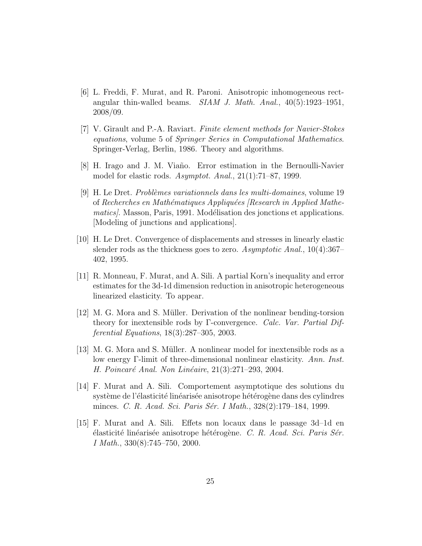- [6] L. Freddi, F. Murat, and R. Paroni. Anisotropic inhomogeneous rectangular thin-walled beams. SIAM J. Math. Anal., 40(5):1923–1951, 2008/09.
- [7] V. Girault and P.-A. Raviart. Finite element methods for Navier-Stokes equations, volume 5 of Springer Series in Computational Mathematics. Springer-Verlag, Berlin, 1986. Theory and algorithms.
- [8] H. Irago and J. M. Viaño. Error estimation in the Bernoulli-Navier model for elastic rods. Asymptot. Anal., 21(1):71–87, 1999.
- [9] H. Le Dret. *Problèmes variationnels dans les multi-domaines*, volume 19 of Recherches en Mathématiques Appliquées [Research in Applied Mathematics). Masson, Paris, 1991. Modélisation des jonctions et applications. [Modeling of junctions and applications].
- [10] H. Le Dret. Convergence of displacements and stresses in linearly elastic slender rods as the thickness goes to zero. Asymptotic Anal., 10(4):367– 402, 1995.
- [11] R. Monneau, F. Murat, and A. Sili. A partial Korn's inequality and error estimates for the 3d-1d dimension reduction in anisotropic heterogeneous linearized elasticity. To appear.
- [12] M. G. Mora and S. M¨uller. Derivation of the nonlinear bending-torsion theory for inextensible rods by Γ-convergence. Calc. Var. Partial Differential Equations, 18(3):287–305, 2003.
- [13] M. G. Mora and S. Müller. A nonlinear model for inextensible rods as a low energy Γ-limit of three-dimensional nonlinear elasticity. Ann. Inst. H. Poincaré Anal. Non Linéaire,  $21(3):271-293$ , 2004.
- [14] F. Murat and A. Sili. Comportement asymptotique des solutions du système de l'élasticité linéarisée anisotrope hétérogène dans des cylindres minces. C. R. Acad. Sci. Paris Sér. I Math., 328(2):179–184, 1999.
- [15] F. Murat and A. Sili. Effets non locaux dans le passage 3d–1d en  $\acute{e}$ lasticité linéarisée anisotrope hétérogène. C. R. Acad. Sci. Paris Sér. I Math., 330(8):745–750, 2000.